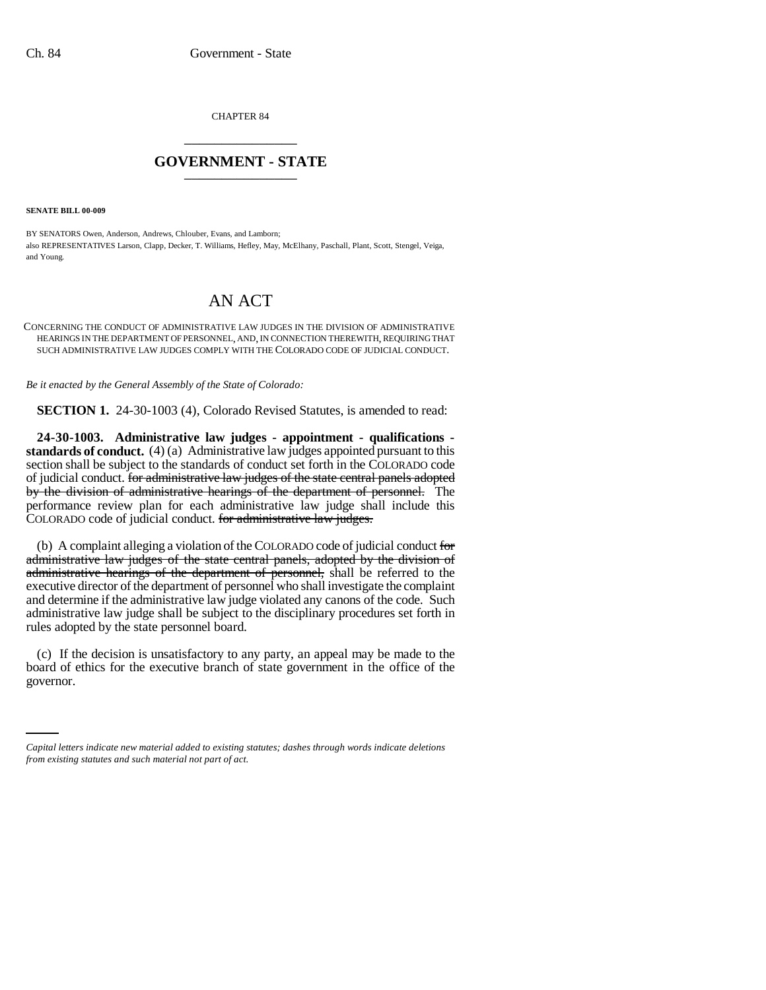CHAPTER 84 \_\_\_\_\_\_\_\_\_\_\_\_\_\_\_

## **GOVERNMENT - STATE** \_\_\_\_\_\_\_\_\_\_\_\_\_\_\_

**SENATE BILL 00-009** 

BY SENATORS Owen, Anderson, Andrews, Chlouber, Evans, and Lamborn; also REPRESENTATIVES Larson, Clapp, Decker, T. Williams, Hefley, May, McElhany, Paschall, Plant, Scott, Stengel, Veiga, and Young.

## AN ACT

CONCERNING THE CONDUCT OF ADMINISTRATIVE LAW JUDGES IN THE DIVISION OF ADMINISTRATIVE HEARINGS IN THE DEPARTMENT OF PERSONNEL, AND, IN CONNECTION THEREWITH, REQUIRING THAT SUCH ADMINISTRATIVE LAW JUDGES COMPLY WITH THE COLORADO CODE OF JUDICIAL CONDUCT.

*Be it enacted by the General Assembly of the State of Colorado:*

**SECTION 1.** 24-30-1003 (4), Colorado Revised Statutes, is amended to read:

**24-30-1003. Administrative law judges - appointment - qualifications standards of conduct.** (4) (a) Administrative law judges appointed pursuant to this section shall be subject to the standards of conduct set forth in the COLORADO code of judicial conduct. for administrative law judges of the state central panels adopted by the division of administrative hearings of the department of personnel. The performance review plan for each administrative law judge shall include this COLORADO code of judicial conduct. for administrative law judges.

(b) A complaint alleging a violation of the COLORADO code of judicial conduct for administrative law judges of the state central panels, adopted by the division of administrative hearings of the department of personnel, shall be referred to the executive director of the department of personnel who shall investigate the complaint and determine if the administrative law judge violated any canons of the code. Such administrative law judge shall be subject to the disciplinary procedures set forth in rules adopted by the state personnel board.

board of ethics for the executive branch of state government in the office of the (c) If the decision is unsatisfactory to any party, an appeal may be made to the governor.

*Capital letters indicate new material added to existing statutes; dashes through words indicate deletions from existing statutes and such material not part of act.*